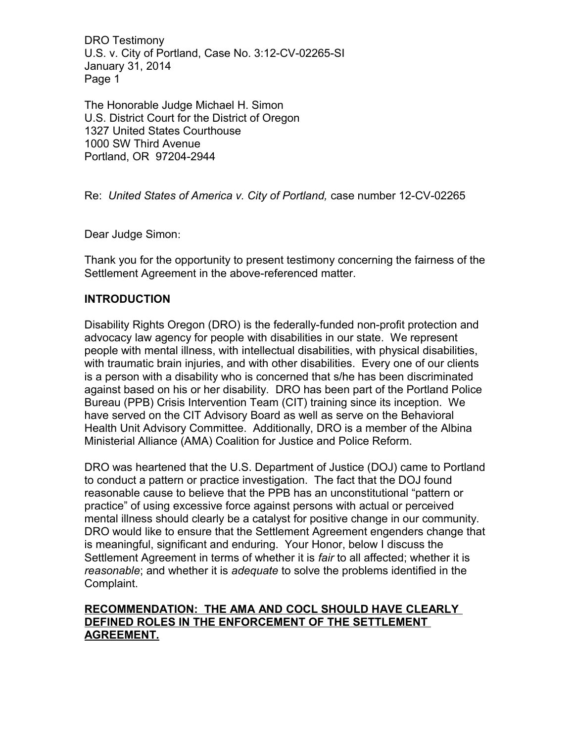The Honorable Judge Michael H. Simon U.S. District Court for the District of Oregon 1327 United States Courthouse 1000 SW Third Avenue Portland, OR 97204-2944

Re: *United States of America v. City of Portland,* case number 12-CV-02265

Dear Judge Simon:

Thank you for the opportunity to present testimony concerning the fairness of the Settlement Agreement in the above-referenced matter.

# **INTRODUCTION**

Disability Rights Oregon (DRO) is the federally-funded non-profit protection and advocacy law agency for people with disabilities in our state. We represent people with mental illness, with intellectual disabilities, with physical disabilities, with traumatic brain injuries, and with other disabilities. Every one of our clients is a person with a disability who is concerned that s/he has been discriminated against based on his or her disability. DRO has been part of the Portland Police Bureau (PPB) Crisis Intervention Team (CIT) training since its inception. We have served on the CIT Advisory Board as well as serve on the Behavioral Health Unit Advisory Committee. Additionally, DRO is a member of the Albina Ministerial Alliance (AMA) Coalition for Justice and Police Reform.

DRO was heartened that the U.S. Department of Justice (DOJ) came to Portland to conduct a pattern or practice investigation. The fact that the DOJ found reasonable cause to believe that the PPB has an unconstitutional "pattern or practice" of using excessive force against persons with actual or perceived mental illness should clearly be a catalyst for positive change in our community. DRO would like to ensure that the Settlement Agreement engenders change that is meaningful, significant and enduring. Your Honor, below I discuss the Settlement Agreement in terms of whether it is *fair* to all affected; whether it is *reasonable*; and whether it is *adequate* to solve the problems identified in the Complaint.

# **RECOMMENDATION: THE AMA AND COCL SHOULD HAVE CLEARLY DEFINED ROLES IN THE ENFORCEMENT OF THE SETTLEMENT AGREEMENT.**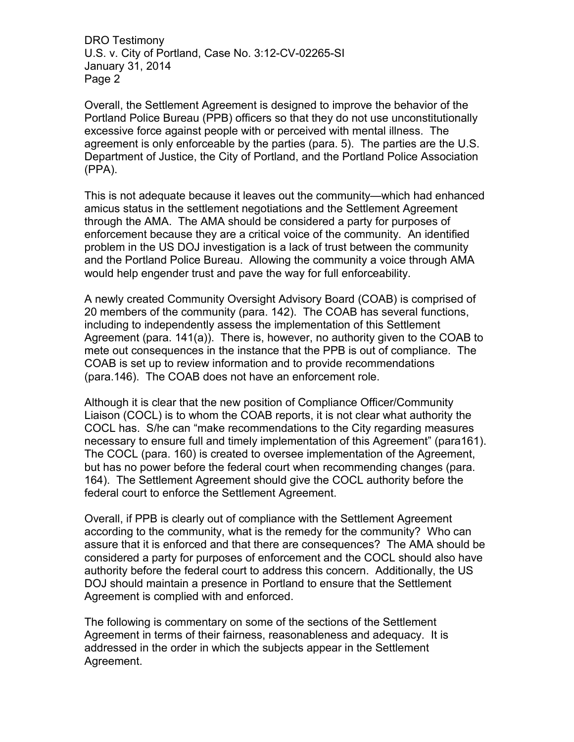Overall, the Settlement Agreement is designed to improve the behavior of the Portland Police Bureau (PPB) officers so that they do not use unconstitutionally excessive force against people with or perceived with mental illness. The agreement is only enforceable by the parties (para. 5). The parties are the U.S. Department of Justice, the City of Portland, and the Portland Police Association (PPA).

This is not adequate because it leaves out the community—which had enhanced amicus status in the settlement negotiations and the Settlement Agreement through the AMA. The AMA should be considered a party for purposes of enforcement because they are a critical voice of the community. An identified problem in the US DOJ investigation is a lack of trust between the community and the Portland Police Bureau. Allowing the community a voice through AMA would help engender trust and pave the way for full enforceability.

A newly created Community Oversight Advisory Board (COAB) is comprised of 20 members of the community (para. 142). The COAB has several functions, including to independently assess the implementation of this Settlement Agreement (para. 141(a)). There is, however, no authority given to the COAB to mete out consequences in the instance that the PPB is out of compliance. The COAB is set up to review information and to provide recommendations (para.146). The COAB does not have an enforcement role.

Although it is clear that the new position of Compliance Officer/Community Liaison (COCL) is to whom the COAB reports, it is not clear what authority the COCL has. S/he can "make recommendations to the City regarding measures necessary to ensure full and timely implementation of this Agreement" (para161). The COCL (para. 160) is created to oversee implementation of the Agreement, but has no power before the federal court when recommending changes (para. 164). The Settlement Agreement should give the COCL authority before the federal court to enforce the Settlement Agreement.

Overall, if PPB is clearly out of compliance with the Settlement Agreement according to the community, what is the remedy for the community? Who can assure that it is enforced and that there are consequences? The AMA should be considered a party for purposes of enforcement and the COCL should also have authority before the federal court to address this concern. Additionally, the US DOJ should maintain a presence in Portland to ensure that the Settlement Agreement is complied with and enforced.

The following is commentary on some of the sections of the Settlement Agreement in terms of their fairness, reasonableness and adequacy. It is addressed in the order in which the subjects appear in the Settlement Agreement.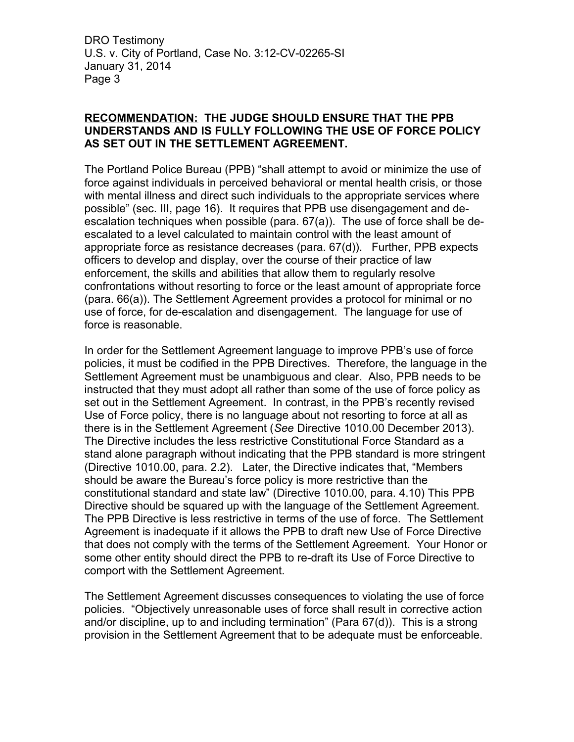## **RECOMMENDATION: THE JUDGE SHOULD ENSURE THAT THE PPB UNDERSTANDS AND IS FULLY FOLLOWING THE USE OF FORCE POLICY AS SET OUT IN THE SETTLEMENT AGREEMENT.**

The Portland Police Bureau (PPB) "shall attempt to avoid or minimize the use of force against individuals in perceived behavioral or mental health crisis, or those with mental illness and direct such individuals to the appropriate services where possible" (sec. III, page 16). It requires that PPB use disengagement and deescalation techniques when possible (para. 67(a)). The use of force shall be deescalated to a level calculated to maintain control with the least amount of appropriate force as resistance decreases (para. 67(d)). Further, PPB expects officers to develop and display, over the course of their practice of law enforcement, the skills and abilities that allow them to regularly resolve confrontations without resorting to force or the least amount of appropriate force (para. 66(a)). The Settlement Agreement provides a protocol for minimal or no use of force, for de-escalation and disengagement. The language for use of force is reasonable.

In order for the Settlement Agreement language to improve PPB's use of force policies, it must be codified in the PPB Directives. Therefore, the language in the Settlement Agreement must be unambiguous and clear. Also, PPB needs to be instructed that they must adopt all rather than some of the use of force policy as set out in the Settlement Agreement. In contrast, in the PPB's recently revised Use of Force policy, there is no language about not resorting to force at all as there is in the Settlement Agreement (*See* Directive 1010.00 December 2013). The Directive includes the less restrictive Constitutional Force Standard as a stand alone paragraph without indicating that the PPB standard is more stringent (Directive 1010.00, para. 2.2). Later, the Directive indicates that, "Members should be aware the Bureau's force policy is more restrictive than the constitutional standard and state law" (Directive 1010.00, para. 4.10) This PPB Directive should be squared up with the language of the Settlement Agreement. The PPB Directive is less restrictive in terms of the use of force. The Settlement Agreement is inadequate if it allows the PPB to draft new Use of Force Directive that does not comply with the terms of the Settlement Agreement. Your Honor or some other entity should direct the PPB to re-draft its Use of Force Directive to comport with the Settlement Agreement.

The Settlement Agreement discusses consequences to violating the use of force policies. "Objectively unreasonable uses of force shall result in corrective action and/or discipline, up to and including termination" (Para 67(d)). This is a strong provision in the Settlement Agreement that to be adequate must be enforceable.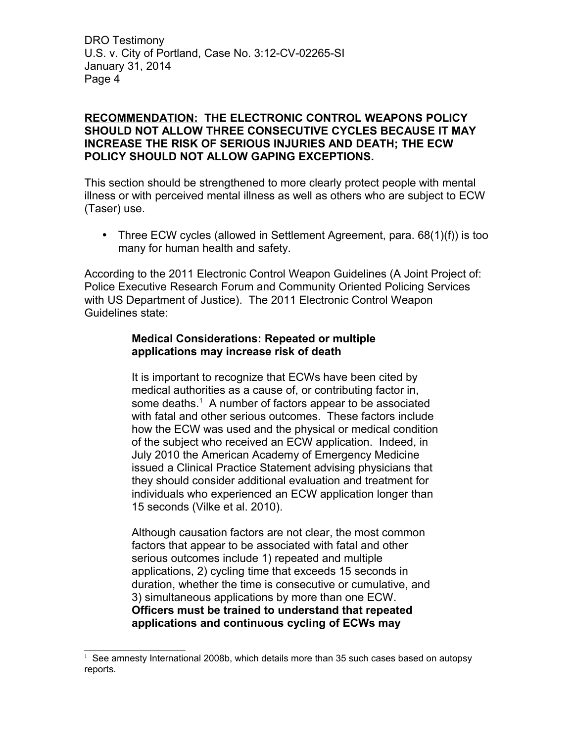## **RECOMMENDATION: THE ELECTRONIC CONTROL WEAPONS POLICY SHOULD NOT ALLOW THREE CONSECUTIVE CYCLES BECAUSE IT MAY INCREASE THE RISK OF SERIOUS INJURIES AND DEATH; THE ECW POLICY SHOULD NOT ALLOW GAPING EXCEPTIONS.**

This section should be strengthened to more clearly protect people with mental illness or with perceived mental illness as well as others who are subject to ECW (Taser) use.

• Three ECW cycles (allowed in Settlement Agreement, para. 68(1)(f)) is too many for human health and safety.

According to the 2011 Electronic Control Weapon Guidelines (A Joint Project of: Police Executive Research Forum and Community Oriented Policing Services with US Department of Justice). The 2011 Electronic Control Weapon Guidelines state:

## **Medical Considerations: Repeated or multiple applications may increase risk of death**

It is important to recognize that ECWs have been cited by medical authorities as a cause of, or contributing factor in, some deaths.<sup>[1](#page-3-0)</sup> A number of factors appear to be associated with fatal and other serious outcomes. These factors include how the ECW was used and the physical or medical condition of the subject who received an ECW application. Indeed, in July 2010 the American Academy of Emergency Medicine issued a Clinical Practice Statement advising physicians that they should consider additional evaluation and treatment for individuals who experienced an ECW application longer than 15 seconds (Vilke et al. 2010).

Although causation factors are not clear, the most common factors that appear to be associated with fatal and other serious outcomes include 1) repeated and multiple applications, 2) cycling time that exceeds 15 seconds in duration, whether the time is consecutive or cumulative, and 3) simultaneous applications by more than one ECW. **Officers must be trained to understand that repeated applications and continuous cycling of ECWs may**

<span id="page-3-0"></span><sup>&</sup>lt;sup>1</sup> See amnesty International 2008b, which details more than 35 such cases based on autopsy reports.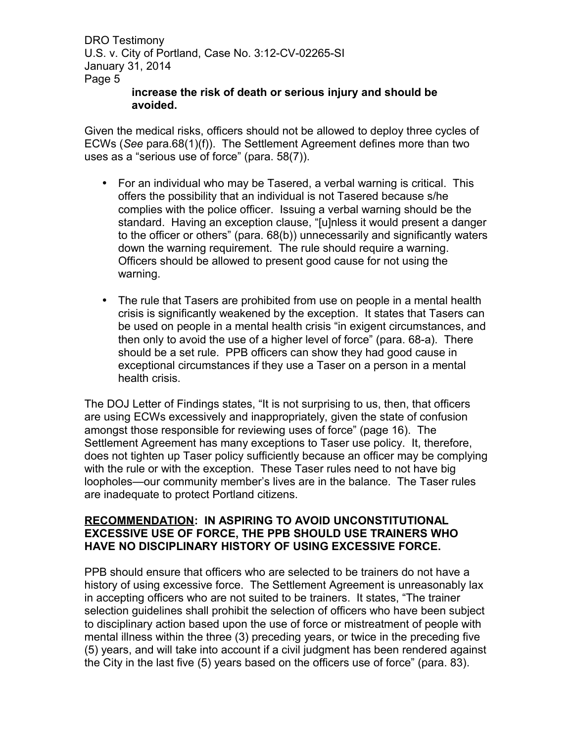#### **increase the risk of death or serious injury and should be avoided.**

Given the medical risks, officers should not be allowed to deploy three cycles of ECWs (*See* para.68(1)(f)). The Settlement Agreement defines more than two uses as a "serious use of force" (para. 58(7)).

- For an individual who may be Tasered, a verbal warning is critical. This offers the possibility that an individual is not Tasered because s/he complies with the police officer. Issuing a verbal warning should be the standard. Having an exception clause, "[u]nless it would present a danger to the officer or others" (para. 68(b)) unnecessarily and significantly waters down the warning requirement. The rule should require a warning. Officers should be allowed to present good cause for not using the warning.
- The rule that Tasers are prohibited from use on people in a mental health crisis is significantly weakened by the exception. It states that Tasers can be used on people in a mental health crisis "in exigent circumstances, and then only to avoid the use of a higher level of force" (para. 68-a). There should be a set rule. PPB officers can show they had good cause in exceptional circumstances if they use a Taser on a person in a mental health crisis.

The DOJ Letter of Findings states, "It is not surprising to us, then, that officers are using ECWs excessively and inappropriately, given the state of confusion amongst those responsible for reviewing uses of force" (page 16). The Settlement Agreement has many exceptions to Taser use policy. It, therefore, does not tighten up Taser policy sufficiently because an officer may be complying with the rule or with the exception. These Taser rules need to not have big loopholes—our community member's lives are in the balance. The Taser rules are inadequate to protect Portland citizens.

## **RECOMMENDATION: IN ASPIRING TO AVOID UNCONSTITUTIONAL EXCESSIVE USE OF FORCE, THE PPB SHOULD USE TRAINERS WHO HAVE NO DISCIPLINARY HISTORY OF USING EXCESSIVE FORCE.**

PPB should ensure that officers who are selected to be trainers do not have a history of using excessive force. The Settlement Agreement is unreasonably lax in accepting officers who are not suited to be trainers. It states, "The trainer selection guidelines shall prohibit the selection of officers who have been subject to disciplinary action based upon the use of force or mistreatment of people with mental illness within the three (3) preceding years, or twice in the preceding five (5) years, and will take into account if a civil judgment has been rendered against the City in the last five (5) years based on the officers use of force" (para. 83).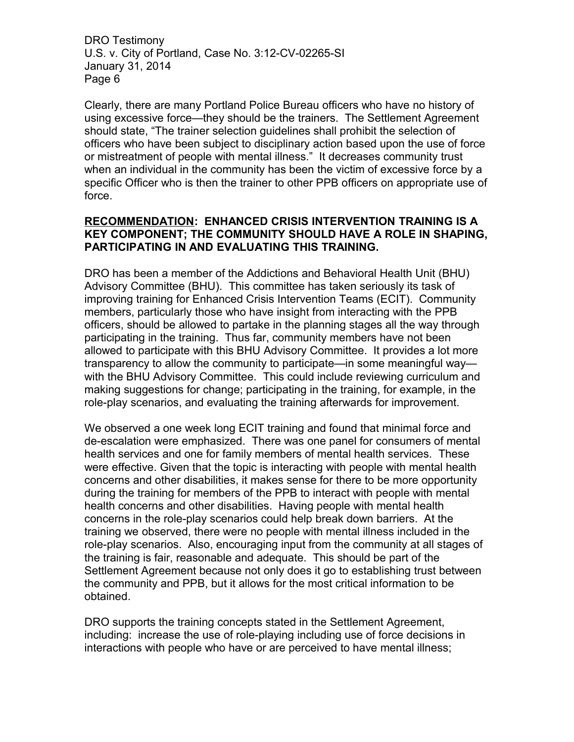Clearly, there are many Portland Police Bureau officers who have no history of using excessive force—they should be the trainers. The Settlement Agreement should state, "The trainer selection guidelines shall prohibit the selection of officers who have been subject to disciplinary action based upon the use of force or mistreatment of people with mental illness." It decreases community trust when an individual in the community has been the victim of excessive force by a specific Officer who is then the trainer to other PPB officers on appropriate use of force.

#### **RECOMMENDATION: ENHANCED CRISIS INTERVENTION TRAINING IS A KEY COMPONENT; THE COMMUNITY SHOULD HAVE A ROLE IN SHAPING, PARTICIPATING IN AND EVALUATING THIS TRAINING.**

DRO has been a member of the Addictions and Behavioral Health Unit (BHU) Advisory Committee (BHU). This committee has taken seriously its task of improving training for Enhanced Crisis Intervention Teams (ECIT). Community members, particularly those who have insight from interacting with the PPB officers, should be allowed to partake in the planning stages all the way through participating in the training. Thus far, community members have not been allowed to participate with this BHU Advisory Committee. It provides a lot more transparency to allow the community to participate—in some meaningful way with the BHU Advisory Committee. This could include reviewing curriculum and making suggestions for change; participating in the training, for example, in the role-play scenarios, and evaluating the training afterwards for improvement.

We observed a one week long ECIT training and found that minimal force and de-escalation were emphasized. There was one panel for consumers of mental health services and one for family members of mental health services. These were effective. Given that the topic is interacting with people with mental health concerns and other disabilities, it makes sense for there to be more opportunity during the training for members of the PPB to interact with people with mental health concerns and other disabilities. Having people with mental health concerns in the role-play scenarios could help break down barriers. At the training we observed, there were no people with mental illness included in the role-play scenarios. Also, encouraging input from the community at all stages of the training is fair, reasonable and adequate. This should be part of the Settlement Agreement because not only does it go to establishing trust between the community and PPB, but it allows for the most critical information to be obtained.

DRO supports the training concepts stated in the Settlement Agreement, including: increase the use of role-playing including use of force decisions in interactions with people who have or are perceived to have mental illness;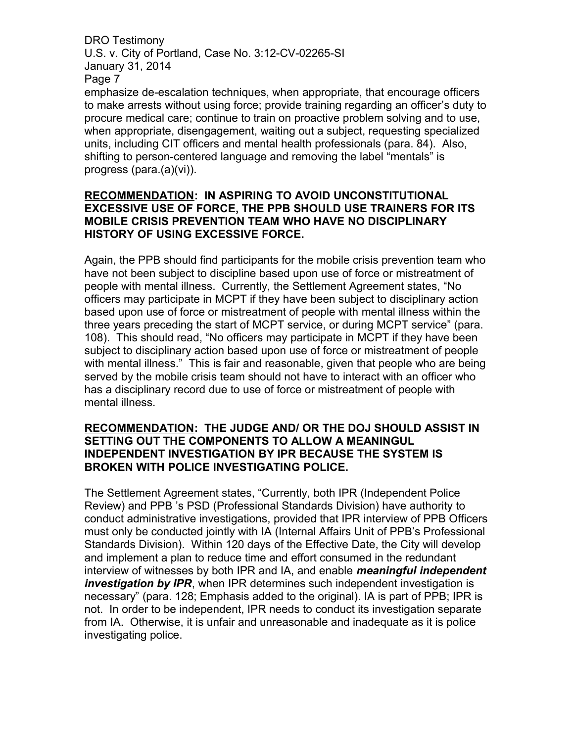emphasize de-escalation techniques, when appropriate, that encourage officers to make arrests without using force; provide training regarding an officer's duty to procure medical care; continue to train on proactive problem solving and to use, when appropriate, disengagement, waiting out a subject, requesting specialized units, including CIT officers and mental health professionals (para. 84). Also, shifting to person-centered language and removing the label "mentals" is progress (para.(a)(vi)).

#### **RECOMMENDATION: IN ASPIRING TO AVOID UNCONSTITUTIONAL EXCESSIVE USE OF FORCE, THE PPB SHOULD USE TRAINERS FOR ITS MOBILE CRISIS PREVENTION TEAM WHO HAVE NO DISCIPLINARY HISTORY OF USING EXCESSIVE FORCE.**

Again, the PPB should find participants for the mobile crisis prevention team who have not been subject to discipline based upon use of force or mistreatment of people with mental illness. Currently, the Settlement Agreement states, "No officers may participate in MCPT if they have been subject to disciplinary action based upon use of force or mistreatment of people with mental illness within the three years preceding the start of MCPT service, or during MCPT service" (para. 108). This should read, "No officers may participate in MCPT if they have been subject to disciplinary action based upon use of force or mistreatment of people with mental illness." This is fair and reasonable, given that people who are being served by the mobile crisis team should not have to interact with an officer who has a disciplinary record due to use of force or mistreatment of people with mental illness.

### **RECOMMENDATION: THE JUDGE AND/ OR THE DOJ SHOULD ASSIST IN SETTING OUT THE COMPONENTS TO ALLOW A MEANINGUL INDEPENDENT INVESTIGATION BY IPR BECAUSE THE SYSTEM IS BROKEN WITH POLICE INVESTIGATING POLICE.**

The Settlement Agreement states, "Currently, both IPR (Independent Police Review) and PPB 's PSD (Professional Standards Division) have authority to conduct administrative investigations, provided that IPR interview of PPB Officers must only be conducted jointly with IA (Internal Affairs Unit of PPB's Professional Standards Division). Within 120 days of the Effective Date, the City will develop and implement a plan to reduce time and effort consumed in the redundant interview of witnesses by both IPR and IA, and enable *meaningful independent investigation by IPR*, when IPR determines such independent investigation is necessary" (para. 128; Emphasis added to the original). IA is part of PPB; IPR is not. In order to be independent, IPR needs to conduct its investigation separate from IA. Otherwise, it is unfair and unreasonable and inadequate as it is police investigating police.